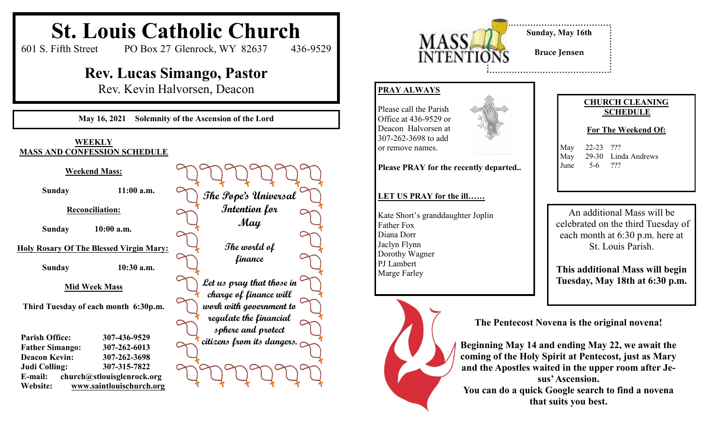

## **CHURCH CLEANING SCHEDULE**

## **For The Weekend Of:**

May 22-23 ??? May 29-30 Linda Andrews June 5-6 ???

An additional Mass will be celebrated on the third Tuesday of each month at 6:30 p.m. here at St. Louis Parish.

**This additional Mass will begin Tuesday, May 18th at 6:30 p.m.**

**The Pentecost Novena is the original novena!**

**Beginning May 14 and ending May 22, we await the coming of the Holy Spirit at Pentecost, just as Mary and the Apostles waited in the upper room after Jesus' Ascension. You can do a quick Google search to find a novena that suits you best.**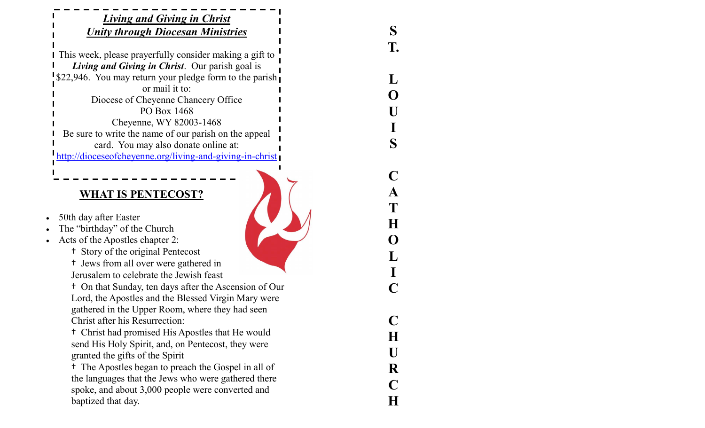| <b>Living and Giving in Christ</b><br><b>Unity through Diocesan Ministries</b>                                                                                             |    |
|----------------------------------------------------------------------------------------------------------------------------------------------------------------------------|----|
| This week, please prayerfully consider making a gift to<br>Living and Giving in Christ. Our parish goal is                                                                 | T. |
| \$22,946. You may return your pledge form to the parish<br>or mail it to:                                                                                                  |    |
| Diocese of Cheyenne Chancery Office                                                                                                                                        |    |
| PO Box 1468                                                                                                                                                                |    |
| Cheyenne, WY 82003-1468                                                                                                                                                    |    |
| Be sure to write the name of our parish on the appeal                                                                                                                      | S  |
| card. You may also donate online at:<br>http://dioceseofcheyenne.org/living-and-giving-in-christ                                                                           |    |
|                                                                                                                                                                            |    |
|                                                                                                                                                                            |    |
| <b>WHAT IS PENTECOST?</b>                                                                                                                                                  |    |
|                                                                                                                                                                            |    |
| 50th day after Easter<br>The "birthday" of the Church                                                                                                                      |    |
| $\bullet$<br>Acts of the Apostles chapter 2:                                                                                                                               | O  |
| <sup>t</sup> Story of the original Pentecost                                                                                                                               |    |
| <sup>t</sup> Jews from all over were gathered in                                                                                                                           |    |
| Jerusalem to celebrate the Jewish feast                                                                                                                                    |    |
| <sup>t</sup> On that Sunday, ten days after the Ascension of Our<br>Lord, the Apostles and the Blessed Virgin Mary were<br>gathered in the Upper Room, where they had seen |    |
| <b>Christ after his Resurrection:</b>                                                                                                                                      |    |
| <sup>†</sup> Christ had promised His Apostles that He would                                                                                                                | H  |
| send His Holy Spirit, and, on Pentecost, they were                                                                                                                         | U  |
| granted the gifts of the Spirit<br>The Apostles began to preach the Gospel in all of<br>t,                                                                                 |    |
| the languages that the Jews who were gathered there                                                                                                                        | R  |
| spoke, and about 3,000 people were converted and                                                                                                                           |    |
| baptized that day.                                                                                                                                                         | H  |